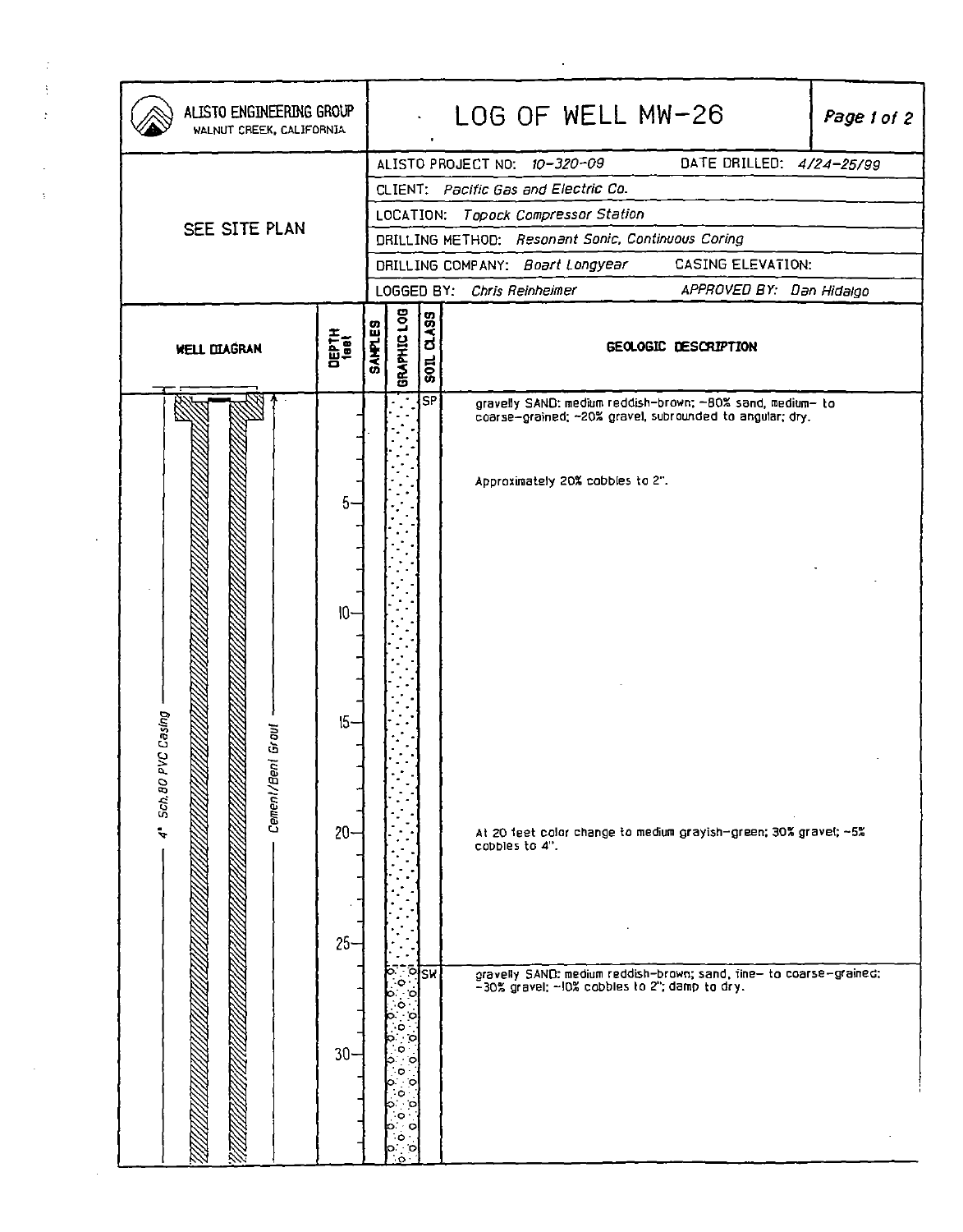| ALISTO ENGINEERING GROUP<br>WALNUT CREEK, CALIFORNIA |                                                                                                                                                                                                                                                        |                                                                   |                         | LOG OF WELL MW-26<br>Page 1 of 2                                                                                                                                                                                                                                                                                                                                         |  |  |
|------------------------------------------------------|--------------------------------------------------------------------------------------------------------------------------------------------------------------------------------------------------------------------------------------------------------|-------------------------------------------------------------------|-------------------------|--------------------------------------------------------------------------------------------------------------------------------------------------------------------------------------------------------------------------------------------------------------------------------------------------------------------------------------------------------------------------|--|--|
| SEE SITE PLAN                                        | DATE DRILLED: 4/24-25/99<br>ALISTO PROJECT NO: 10-320-09<br>CLIENT: Pacific Gas and Electric Co.<br>LOCATION: Topock Compressor Station<br>DRILLING METHOD: Resonant Sonic, Continuous Coring<br>CASING ELEVATION:<br>DRILLING COMPANY: Boart Longyear |                                                                   |                         |                                                                                                                                                                                                                                                                                                                                                                          |  |  |
| <b>WELL DIAGRAN</b>                                  | DEPTH<br><sup>1881</sup>                                                                                                                                                                                                                               | GRAPHIC LOG<br><b>SAMPLES</b>                                     | $\frac{20}{100}$        | LOGGED BY: Chris Reinheimer<br>APPROVED BY: Dan Hidalgo<br>GEOLOGIC DESCRIPTION                                                                                                                                                                                                                                                                                          |  |  |
| Sch. 80 PVC Casing<br>Cement/Bent Grout<br>Ļ,        | 5.<br>$10-$<br>$15-$<br>$20 -$<br>$25 -$<br>$30 -$                                                                                                                                                                                                     | ۰o۰<br>٠o,<br>c<br>۰<br>о<br>o<br>iC.<br>с<br>۰<br>o<br>စ<br>lo o | S <sub>P</sub><br>∾ेशिक | gravelly SAND: medium reddish-brown; -80% sand, medium- to<br>coarse-grained; ~20% gravel, subrounded to angular; dry.<br>Approximately 20% cobbles to 2".<br>At 20 feet color change to medium grayish-green; 30% gravel; ~5%<br>cobbles to 4".<br>gravelly SAND: medium reddish-brown; sand, fine- to coarse-grained;<br>-30% gravel; -10% cobbles to 2"; damp to dry. |  |  |

 $\mathcal{L}_{\text{max}}$